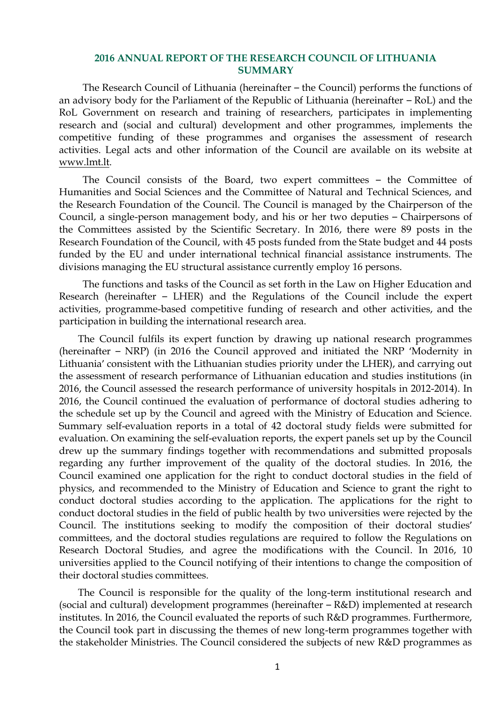## **2016 ANNUAL REPORT OF THE RESEARCH COUNCIL OF LITHUANIA SUMMARY**

The Research Council of Lithuania (hereinafter – the Council) performs the functions of an advisory body for the Parliament of the Republic of Lithuania (hereinafter – RoL) and the RoL Government on research and training of researchers, participates in implementing research and (social and cultural) development and other programmes, implements the competitive funding of these programmes and organises the assessment of research activities. Legal acts and other information of the Council are available on its website at [www.lmt.lt.](http://www.lmt.lt/)

The Council consists of the Board, two expert committees – the Committee of Humanities and Social Sciences and the Committee of Natural and Technical Sciences, and the Research Foundation of the Council. The Council is managed by the Chairperson of the Council, a single-person management body, and his or her two deputies – Chairpersons of the Committees assisted by the Scientific Secretary. In 2016, there were 89 posts in the Research Foundation of the Council, with 45 posts funded from the State budget and 44 posts funded by the EU and under international technical financial assistance instruments. The divisions managing the EU structural assistance currently employ 16 persons.

The functions and tasks of the Council as set forth in the Law on Higher Education and Research (hereinafter – LHER) and the Regulations of the Council include the expert activities, programme-based competitive funding of research and other activities, and the participation in building the international research area.

The Council fulfils its expert function by drawing up national research programmes (hereinafter – NRP) (in 2016 the Council approved and initiated the NRP 'Modernity in Lithuania' consistent with the Lithuanian studies priority under the LHER), and carrying out the assessment of research performance of Lithuanian education and studies institutions (in 2016, the Council assessed the research performance of university hospitals in 2012-2014). In 2016, the Council continued the evaluation of performance of doctoral studies adhering to the schedule set up by the Council and agreed with the Ministry of Education and Science. Summary self-evaluation reports in a total of 42 doctoral study fields were submitted for evaluation. On examining the self-evaluation reports, the expert panels set up by the Council drew up the summary findings together with recommendations and submitted proposals regarding any further improvement of the quality of the doctoral studies. In 2016, the Council examined one application for the right to conduct doctoral studies in the field of physics, and recommended to the Ministry of Education and Science to grant the right to conduct doctoral studies according to the application. The applications for the right to conduct doctoral studies in the field of public health by two universities were rejected by the Council. The institutions seeking to modify the composition of their doctoral studies' committees, and the doctoral studies regulations are required to follow the Regulations on Research Doctoral Studies, and agree the modifications with the Council. In 2016, 10 universities applied to the Council notifying of their intentions to change the composition of their doctoral studies committees.

The Council is responsible for the quality of the long-term institutional research and (social and cultural) development programmes (hereinafter – R&D) implemented at research institutes. In 2016, the Council evaluated the reports of such R&D programmes. Furthermore, the Council took part in discussing the themes of new long-term programmes together with the stakeholder Ministries. The Council considered the subjects of new R&D programmes as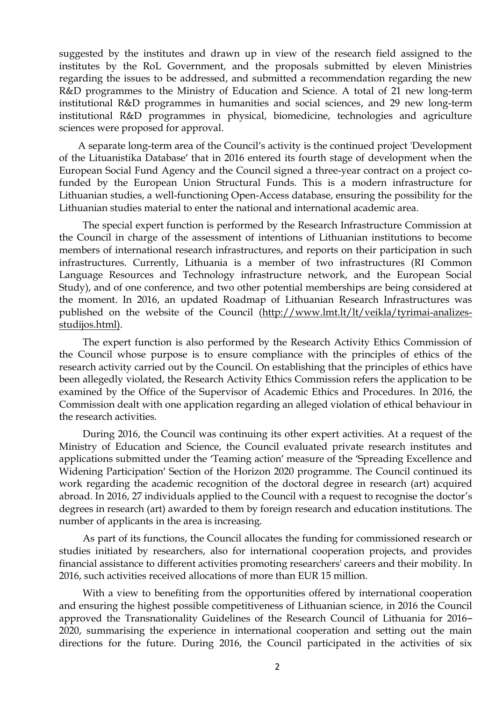suggested by the institutes and drawn up in view of the research field assigned to the institutes by the RoL Government, and the proposals submitted by eleven Ministries regarding the issues to be addressed, and submitted a recommendation regarding the new R&D programmes to the Ministry of Education and Science. A total of 21 new long-term institutional R&D programmes in humanities and social sciences, and 29 new long-term institutional R&D programmes in physical, biomedicine, technologies and agriculture sciences were proposed for approval.

A separate long-term area of the Council's activity is the continued project 'Development of the Lituanistika Database' that in 2016 entered its fourth stage of development when the European Social Fund Agency and the Council signed a three-year contract on a project cofunded by the European Union Structural Funds. This is a modern infrastructure for Lithuanian studies, a well-functioning Open-Access database, ensuring the possibility for the Lithuanian studies material to enter the national and international academic area.

The special expert function is performed by the Research Infrastructure Commission at the Council in charge of the assessment of intentions of Lithuanian institutions to become members of international research infrastructures, and reports on their participation in such infrastructures. Currently, Lithuania is a member of two infrastructures (RI Common Language Resources and Technology infrastructure network, and the European Social Study), and of one conference, and two other potential memberships are being considered at the moment. In 2016, an updated Roadmap of Lithuanian Research Infrastructures was published on the website of the Council [\(http://www.lmt.lt/lt/veikla/tyrimai-analizes](http://www.lmt.lt/lt/veikla/tyrimai-analizes-studijos.html)[studijos.html\)](http://www.lmt.lt/lt/veikla/tyrimai-analizes-studijos.html).

The expert function is also performed by the Research Activity Ethics Commission of the Council whose purpose is to ensure compliance with the principles of ethics of the research activity carried out by the Council. On establishing that the principles of ethics have been allegedly violated, the Research Activity Ethics Commission refers the application to be examined by the Office of the Supervisor of Academic Ethics and Procedures. In 2016, the Commission dealt with one application regarding an alleged violation of ethical behaviour in the research activities.

During 2016, the Council was continuing its other expert activities. At a request of the Ministry of Education and Science, the Council evaluated private research institutes and applications submitted under the 'Teaming action' measure of the 'Spreading Excellence and Widening Participation' Section of the Horizon 2020 programme. The Council continued its work regarding the academic recognition of the doctoral degree in research (art) acquired abroad. In 2016, 27 individuals applied to the Council with a request to recognise the doctor's degrees in research (art) awarded to them by foreign research and education institutions. The number of applicants in the area is increasing.

As part of its functions, the Council allocates the funding for commissioned research or studies initiated by researchers, also for international cooperation projects, and provides financial assistance to different activities promoting researchers' careers and their mobility. In 2016, such activities received allocations of more than EUR 15 million.

With a view to benefiting from the opportunities offered by international cooperation and ensuring the highest possible competitiveness of Lithuanian science, in 2016 the Council approved the Transnationality Guidelines of the Research Council of Lithuania for 2016– 2020, summarising the experience in international cooperation and setting out the main directions for the future. During 2016, the Council participated in the activities of six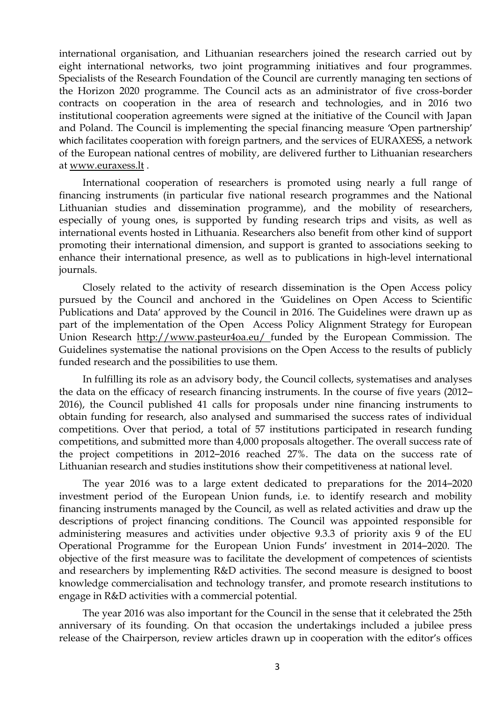international organisation, and Lithuanian researchers joined the research carried out by eight international networks, two joint programming initiatives and four programmes. Specialists of the Research Foundation of the Council are currently managing ten sections of the Horizon 2020 programme. The Council acts as an administrator of five cross-border contracts on cooperation in the area of research and technologies, and in 2016 two institutional cooperation agreements were signed at the initiative of the Council with Japan and Poland. The Council is implementing the special financing measure 'Open partnership' which facilitates cooperation with foreign partners, and the services of EURAXESS, a network of the European national centres of mobility, are delivered further to Lithuanian researchers at [www.euraxess.lt](http://www.euraxess.lt/) .

International cooperation of researchers is promoted using nearly a full range of financing instruments (in particular five national research programmes and the National Lithuanian studies and dissemination programme), and the mobility of researchers, especially of young ones, is supported by funding research trips and visits, as well as international events hosted in Lithuania. Researchers also benefit from other kind of support promoting their international dimension, and support is granted to associations seeking to enhance their international presence, as well as to publications in high-level international journals.

Closely related to the activity of research dissemination is the Open Access policy pursued by the Council and anchored in the 'Guidelines on Open Access to Scientific Publications and Data' approved by the Council in 2016. The Guidelines were drawn up as part of the implementation of the Open Access Policy Alignment Strategy for European Union Research <http://www.pasteur4oa.eu/> funded by the European Commission. The Guidelines systematise the national provisions on the Open Access to the results of publicly funded research and the possibilities to use them.

In fulfilling its role as an advisory body, the Council collects, systematises and analyses the data on the efficacy of research financing instruments. In the course of five years (2012– 2016), the Council published 41 calls for proposals under nine financing instruments to obtain funding for research, also analysed and summarised the success rates of individual competitions. Over that period, a total of 57 institutions participated in research funding competitions, and submitted more than 4,000 proposals altogether. The overall success rate of the project competitions in 2012–2016 reached 27%. The data on the success rate of Lithuanian research and studies institutions show their competitiveness at national level.

The year 2016 was to a large extent dedicated to preparations for the 2014–2020 investment period of the European Union funds, i.e. to identify research and mobility financing instruments managed by the Council, as well as related activities and draw up the descriptions of project financing conditions. The Council was appointed responsible for administering measures and activities under objective 9.3.3 of priority axis 9 of the EU Operational Programme for the European Union Funds' investment in 2014–2020. The objective of the first measure was to facilitate the development of competences of scientists and researchers by implementing R&D activities. The second measure is designed to boost knowledge commercialisation and technology transfer, and promote research institutions to engage in R&D activities with a commercial potential.

The year 2016 was also important for the Council in the sense that it celebrated the 25th anniversary of its founding. On that occasion the undertakings included a jubilee press release of the Chairperson, review articles drawn up in cooperation with the editor's offices